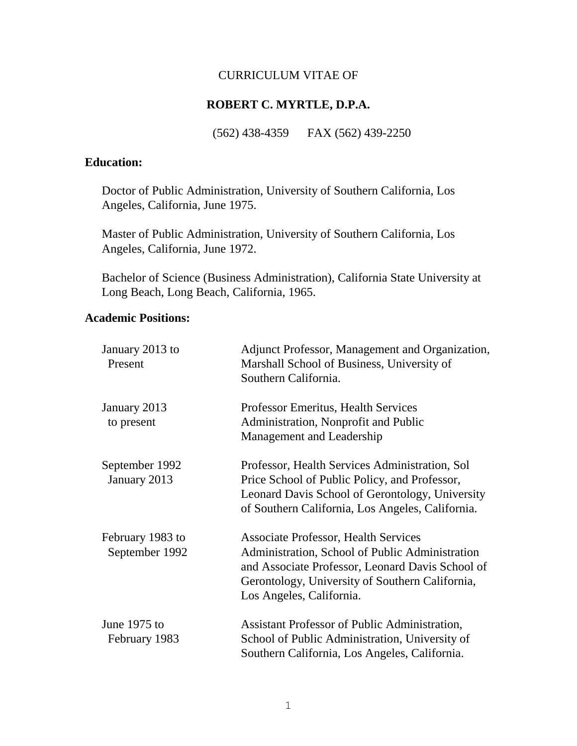### CURRICULUM VITAE OF

## **ROBERT C. MYRTLE, D.P.A.**

(562) 438-4359 FAX (562) 439-2250

## **Education:**

Doctor of Public Administration, University of Southern California, Los Angeles, California, June 1975.

Master of Public Administration, University of Southern California, Los Angeles, California, June 1972.

Bachelor of Science (Business Administration), California State University at Long Beach, Long Beach, California, 1965.

## **Academic Positions:**

| January 2013 to<br>Present         | Adjunct Professor, Management and Organization,<br>Marshall School of Business, University of<br>Southern California.                                                                                                             |
|------------------------------------|-----------------------------------------------------------------------------------------------------------------------------------------------------------------------------------------------------------------------------------|
| January 2013<br>to present         | <b>Professor Emeritus, Health Services</b><br>Administration, Nonprofit and Public<br>Management and Leadership                                                                                                                   |
| September 1992<br>January 2013     | Professor, Health Services Administration, Sol<br>Price School of Public Policy, and Professor,<br>Leonard Davis School of Gerontology, University<br>of Southern California, Los Angeles, California.                            |
| February 1983 to<br>September 1992 | <b>Associate Professor, Health Services</b><br>Administration, School of Public Administration<br>and Associate Professor, Leonard Davis School of<br>Gerontology, University of Southern California,<br>Los Angeles, California. |
| June 1975 to<br>February 1983      | Assistant Professor of Public Administration,<br>School of Public Administration, University of<br>Southern California, Los Angeles, California.                                                                                  |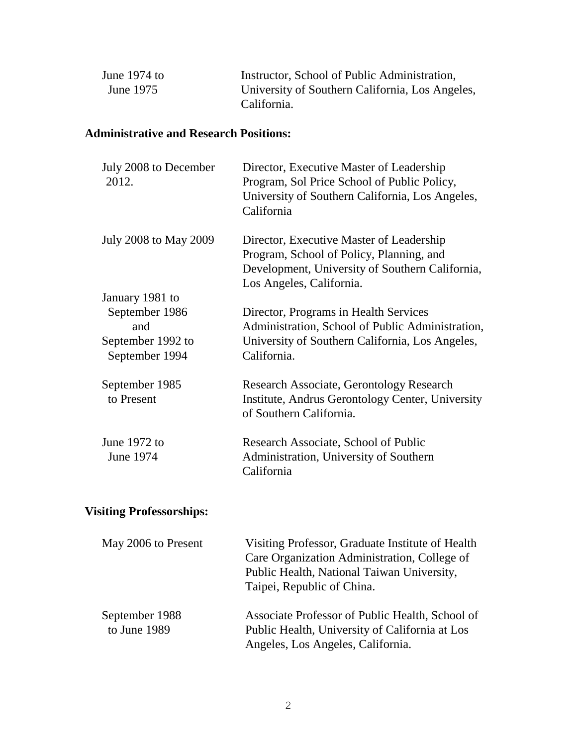| June $1974$ to | Instructor, School of Public Administration,    |
|----------------|-------------------------------------------------|
| June 1975      | University of Southern California, Los Angeles, |
|                | California.                                     |

## **Administrative and Research Positions:**

| July 2008 to December<br>2012.      | Director, Executive Master of Leadership<br>Program, Sol Price School of Public Policy,<br>University of Southern California, Los Angeles,<br>California            |
|-------------------------------------|---------------------------------------------------------------------------------------------------------------------------------------------------------------------|
| July 2008 to May 2009               | Director, Executive Master of Leadership<br>Program, School of Policy, Planning, and<br>Development, University of Southern California,<br>Los Angeles, California. |
| January 1981 to                     |                                                                                                                                                                     |
| September 1986<br>and               | Director, Programs in Health Services<br>Administration, School of Public Administration,                                                                           |
| September 1992 to<br>September 1994 | University of Southern California, Los Angeles,<br>California.                                                                                                      |
| September 1985<br>to Present        | Research Associate, Gerontology Research<br>Institute, Andrus Gerontology Center, University<br>of Southern California.                                             |
| June 1972 to<br>June 1974           | Research Associate, School of Public<br>Administration, University of Southern<br>California                                                                        |

# **Visiting Professorships:**

| May 2006 to Present            | Visiting Professor, Graduate Institute of Health<br>Care Organization Administration, College of<br>Public Health, National Taiwan University,<br>Taipei, Republic of China. |
|--------------------------------|------------------------------------------------------------------------------------------------------------------------------------------------------------------------------|
| September 1988<br>to June 1989 | Associate Professor of Public Health, School of<br>Public Health, University of California at Los<br>Angeles, Los Angeles, California.                                       |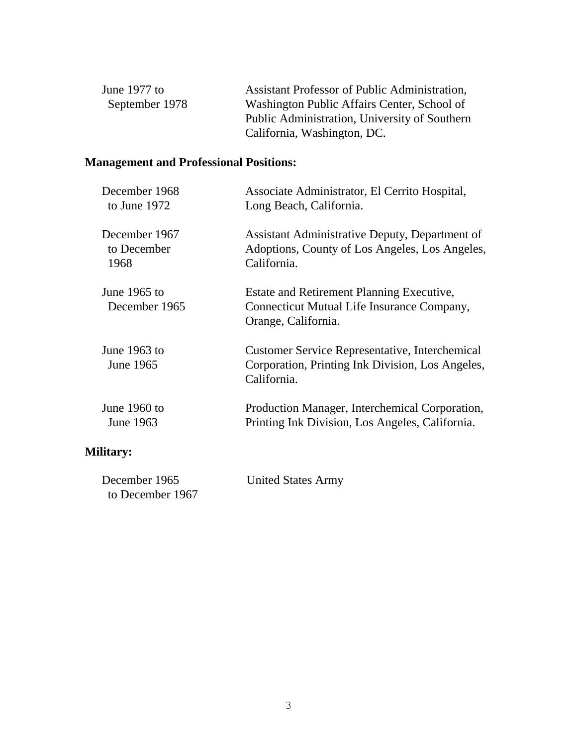| June $1977$ to | Assistant Professor of Public Administration, |
|----------------|-----------------------------------------------|
| September 1978 | Washington Public Affairs Center, School of   |
|                | Public Administration, University of Southern |
|                | California, Washington, DC.                   |

## **Management and Professional Positions:**

| December 1968    | Associate Administrator, El Cerrito Hospital,         |
|------------------|-------------------------------------------------------|
| to June 1972     | Long Beach, California.                               |
| December 1967    | Assistant Administrative Deputy, Department of        |
| to December      | Adoptions, County of Los Angeles, Los Angeles,        |
| 1968             | California.                                           |
|                  |                                                       |
| June $1965$ to   | Estate and Retirement Planning Executive,             |
| December 1965    | Connecticut Mutual Life Insurance Company,            |
|                  | Orange, California.                                   |
| June 1963 to     | <b>Customer Service Representative, Interchemical</b> |
| June 1965        | Corporation, Printing Ink Division, Los Angeles,      |
|                  | California.                                           |
| June 1960 to     | Production Manager, Interchemical Corporation,        |
| June 1963        | Printing Ink Division, Los Angeles, California.       |
| <b>Military:</b> |                                                       |
| December 1965    | <b>United States Army</b>                             |

to December 1967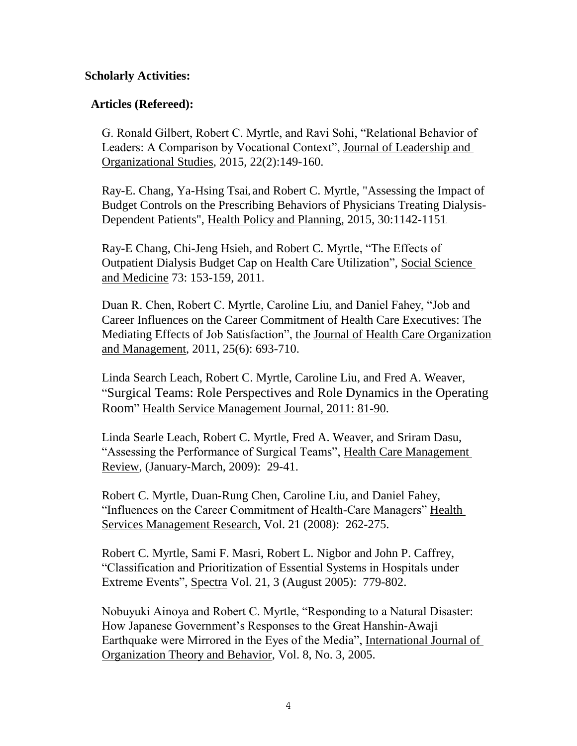## **Scholarly Activities:**

## **Articles (Refereed):**

G. Ronald Gilbert, Robert C. Myrtle, and Ravi Sohi, "Relational Behavior of Leaders: A Comparison by Vocational Context", Journal of Leadership and Organizational Studies, 2015, 22(2):149-160.

Ray-E. Chang, Ya-Hsing Tsai**,** and Robert C. Myrtle, "Assessing the Impact of Budget Controls on the Prescribing Behaviors of Physicians Treating Dialysis-Dependent Patients", Health Policy and Planning, 2015, 30:1142-1151.

Ray-E Chang, Chi-Jeng Hsieh, and Robert C. Myrtle, "The Effects of Outpatient Dialysis Budget Cap on Health Care Utilization", Social Science and Medicine 73: 153-159, 2011.

Duan R. Chen, Robert C. Myrtle, Caroline Liu, and Daniel Fahey, "Job and Career Influences on the Career Commitment of Health Care Executives: The Mediating Effects of Job Satisfaction", the Journal of Health Care Organization and Management, 2011, 25(6): 693-710.

Linda Search Leach, Robert C. Myrtle, Caroline Liu, and Fred A. Weaver, "Surgical Teams: Role Perspectives and Role Dynamics in the Operating Room" Health Service Management Journal, 2011: 81-90.

Linda Searle Leach, Robert C. Myrtle, Fred A. Weaver, and Sriram Dasu, "Assessing the Performance of Surgical Teams", Health Care Management Review, (January-March, 2009): 29-41.

Robert C. Myrtle, Duan-Rung Chen, Caroline Liu, and Daniel Fahey, "Influences on the Career Commitment of Health-Care Managers" Health Services Management Research, Vol. 21 (2008): 262-275.

Robert C. Myrtle, Sami F. Masri, Robert L. Nigbor and John P. Caffrey, "Classification and Prioritization of Essential Systems in Hospitals under Extreme Events", Spectra Vol. 21, 3 (August 2005): 779-802.

Nobuyuki Ainoya and Robert C. Myrtle, "Responding to a Natural Disaster: How Japanese Government's Responses to the Great Hanshin-Awaji Earthquake were Mirrored in the Eyes of the Media", International Journal of Organization Theory and Behavior, Vol. 8, No. 3, 2005.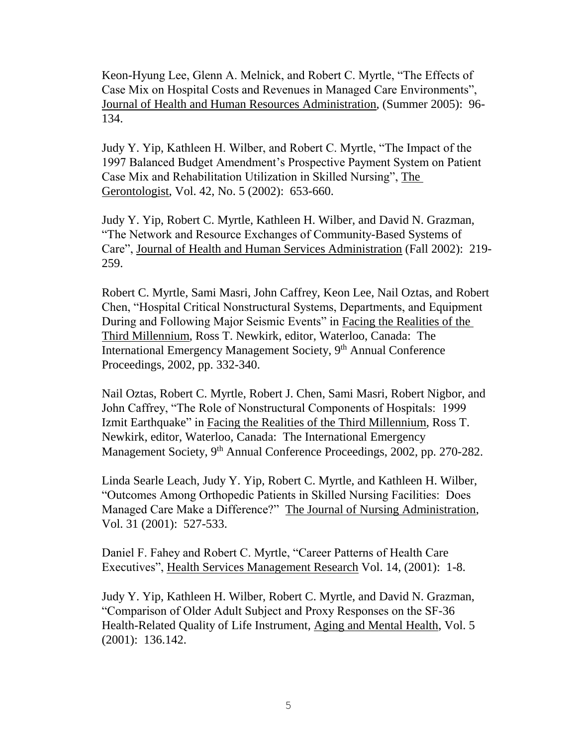Keon-Hyung Lee, Glenn A. Melnick, and Robert C. Myrtle, "The Effects of Case Mix on Hospital Costs and Revenues in Managed Care Environments", Journal of Health and Human Resources Administration, (Summer 2005): 96- 134.

Judy Y. Yip, Kathleen H. Wilber, and Robert C. Myrtle, "The Impact of the 1997 Balanced Budget Amendment's Prospective Payment System on Patient Case Mix and Rehabilitation Utilization in Skilled Nursing", The Gerontologist, Vol. 42, No. 5 (2002): 653-660.

Judy Y. Yip, Robert C. Myrtle, Kathleen H. Wilber, and David N. Grazman, "The Network and Resource Exchanges of Community-Based Systems of Care", Journal of Health and Human Services Administration (Fall 2002): 219- 259.

Robert C. Myrtle, Sami Masri, John Caffrey, Keon Lee, Nail Oztas, and Robert Chen, "Hospital Critical Nonstructural Systems, Departments, and Equipment During and Following Major Seismic Events" in Facing the Realities of the Third Millennium, Ross T. Newkirk, editor, Waterloo, Canada: The International Emergency Management Society, 9<sup>th</sup> Annual Conference Proceedings, 2002, pp. 332-340.

Nail Oztas, Robert C. Myrtle, Robert J. Chen, Sami Masri, Robert Nigbor, and John Caffrey, "The Role of Nonstructural Components of Hospitals: 1999 Izmit Earthquake" in Facing the Realities of the Third Millennium, Ross T. Newkirk, editor, Waterloo, Canada: The International Emergency Management Society, 9<sup>th</sup> Annual Conference Proceedings, 2002, pp. 270-282.

Linda Searle Leach, Judy Y. Yip, Robert C. Myrtle, and Kathleen H. Wilber, "Outcomes Among Orthopedic Patients in Skilled Nursing Facilities: Does Managed Care Make a Difference?" The Journal of Nursing Administration, Vol. 31 (2001): 527-533.

Daniel F. Fahey and Robert C. Myrtle, "Career Patterns of Health Care Executives", Health Services Management Research Vol. 14, (2001): 1-8.

Judy Y. Yip, Kathleen H. Wilber, Robert C. Myrtle, and David N. Grazman, "Comparison of Older Adult Subject and Proxy Responses on the SF-36 Health-Related Quality of Life Instrument, Aging and Mental Health, Vol. 5 (2001): 136.142.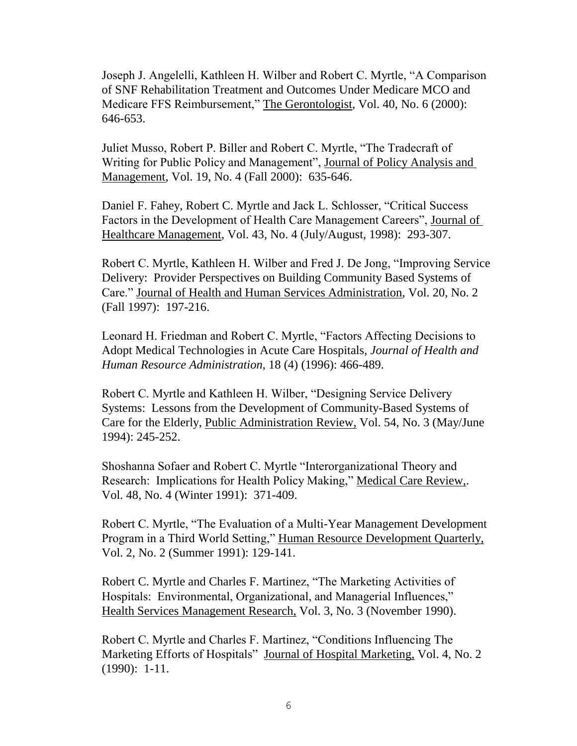Joseph J. Angelelli, Kathleen H. Wilber and Robert C. Myrtle, "A Comparison of SNF Rehabilitation Treatment and Outcomes Under Medicare MCO and Medicare FFS Reimbursement," The Gerontologist, Vol. 40, No. 6 (2000): 646-653.

Juliet Musso, Robert P. Biller and Robert C. Myrtle, "The Tradecraft of Writing for Public Policy and Management", Journal of Policy Analysis and Management, Vol. 19, No. 4 (Fall 2000): 635-646.

Daniel F. Fahey, Robert C. Myrtle and Jack L. Schlosser, "Critical Success Factors in the Development of Health Care Management Careers", Journal of Healthcare Management, Vol. 43, No. 4 (July/August, 1998): 293-307.

Robert C. Myrtle, Kathleen H. Wilber and Fred J. De Jong, "Improving Service Delivery: Provider Perspectives on Building Community Based Systems of Care." Journal of Health and Human Services Administration, Vol. 20, No. 2 (Fall 1997): 197-216.

Leonard H. Friedman and Robert C. Myrtle, "Factors Affecting Decisions to Adopt Medical Technologies in Acute Care Hospitals, *Journal of Health and Human Resource Administration*, 18 (4) (1996): 466-489.

Robert C. Myrtle and Kathleen H. Wilber, "Designing Service Delivery Systems: Lessons from the Development of Community-Based Systems of Care for the Elderly, Public Administration Review, Vol. 54, No. 3 (May/June 1994): 245-252.

Shoshanna Sofaer and Robert C. Myrtle "Interorganizational Theory and Research: Implications for Health Policy Making," Medical Care Review,. Vol. 48, No. 4 (Winter 1991): 371-409.

Robert C. Myrtle, "The Evaluation of a Multi-Year Management Development Program in a Third World Setting," Human Resource Development Quarterly, Vol. 2, No. 2 (Summer 1991): 129-141.

Robert C. Myrtle and Charles F. Martinez, "The Marketing Activities of Hospitals: Environmental, Organizational, and Managerial Influences," Health Services Management Research, Vol. 3, No. 3 (November 1990).

Robert C. Myrtle and Charles F. Martinez, "Conditions Influencing The Marketing Efforts of Hospitals" Journal of Hospital Marketing, Vol. 4, No. 2 (1990): 1-11.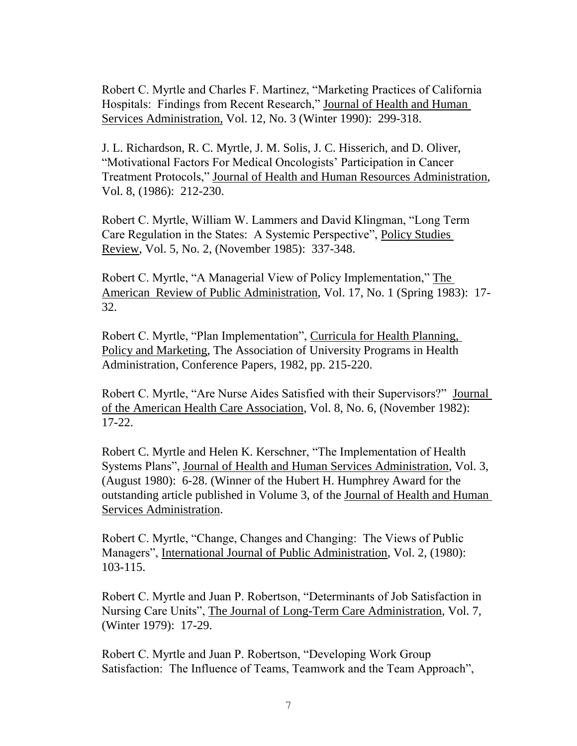Robert C. Myrtle and Charles F. Martinez, "Marketing Practices of California Hospitals: Findings from Recent Research," Journal of Health and Human Services Administration, Vol. 12, No. 3 (Winter 1990): 299-318.

J. L. Richardson, R. C. Myrtle, J. M. Solis, J. C. Hisserich, and D. Oliver, "Motivational Factors For Medical Oncologists' Participation in Cancer Treatment Protocols," Journal of Health and Human Resources Administration, Vol. 8, (1986): 212-230.

Robert C. Myrtle, William W. Lammers and David Klingman, "Long Term Care Regulation in the States: A Systemic Perspective", Policy Studies Review, Vol. 5, No. 2, (November 1985): 337-348.

Robert C. Myrtle, "A Managerial View of Policy Implementation," The American Review of Public Administration, Vol. 17, No. 1 (Spring 1983): 17- 32.

Robert C. Myrtle, "Plan Implementation", Curricula for Health Planning, Policy and Marketing, The Association of University Programs in Health Administration, Conference Papers, 1982, pp. 215-220.

Robert C. Myrtle, "Are Nurse Aides Satisfied with their Supervisors?" Journal of the American Health Care Association, Vol. 8, No. 6, (November 1982): 17-22.

Robert C. Myrtle and Helen K. Kerschner, "The Implementation of Health Systems Plans", Journal of Health and Human Services Administration, Vol. 3, (August 1980): 6-28. (Winner of the Hubert H. Humphrey Award for the outstanding article published in Volume 3, of the Journal of Health and Human Services Administration.

Robert C. Myrtle, "Change, Changes and Changing: The Views of Public Managers", International Journal of Public Administration, Vol. 2, (1980): 103-115.

Robert C. Myrtle and Juan P. Robertson, "Determinants of Job Satisfaction in Nursing Care Units", The Journal of Long-Term Care Administration, Vol. 7, (Winter 1979): 17-29.

Robert C. Myrtle and Juan P. Robertson, "Developing Work Group Satisfaction: The Influence of Teams, Teamwork and the Team Approach",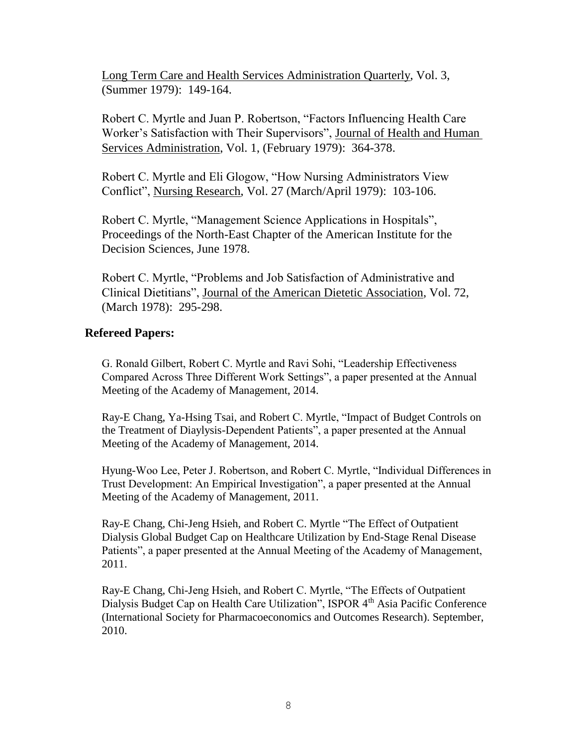Long Term Care and Health Services Administration Quarterly, Vol. 3, (Summer 1979): 149-164.

Robert C. Myrtle and Juan P. Robertson, "Factors Influencing Health Care Worker's Satisfaction with Their Supervisors", Journal of Health and Human Services Administration, Vol. 1, (February 1979): 364-378.

Robert C. Myrtle and Eli Glogow, "How Nursing Administrators View Conflict", Nursing Research, Vol. 27 (March/April 1979): 103-106.

Robert C. Myrtle, "Management Science Applications in Hospitals", Proceedings of the North-East Chapter of the American Institute for the Decision Sciences, June 1978.

Robert C. Myrtle, "Problems and Job Satisfaction of Administrative and Clinical Dietitians", Journal of the American Dietetic Association, Vol. 72, (March 1978): 295-298.

## **Refereed Papers:**

G. Ronald Gilbert, Robert C. Myrtle and Ravi Sohi, "Leadership Effectiveness Compared Across Three Different Work Settings", a paper presented at the Annual Meeting of the Academy of Management, 2014.

Ray-E Chang, Ya-Hsing Tsai, and Robert C. Myrtle, "Impact of Budget Controls on the Treatment of Diaylysis-Dependent Patients", a paper presented at the Annual Meeting of the Academy of Management, 2014.

Hyung-Woo Lee, Peter J. Robertson, and Robert C. Myrtle, "Individual Differences in Trust Development: An Empirical Investigation", a paper presented at the Annual Meeting of the Academy of Management, 2011.

Ray-E Chang, Chi-Jeng Hsieh, and Robert C. Myrtle "The Effect of Outpatient Dialysis Global Budget Cap on Healthcare Utilization by End-Stage Renal Disease Patients", a paper presented at the Annual Meeting of the Academy of Management, 2011.

Ray-E Chang, Chi-Jeng Hsieh, and Robert C. Myrtle, "The Effects of Outpatient Dialysis Budget Cap on Health Care Utilization", ISPOR 4<sup>th</sup> Asia Pacific Conference (International Society for Pharmacoeconomics and Outcomes Research). September, 2010.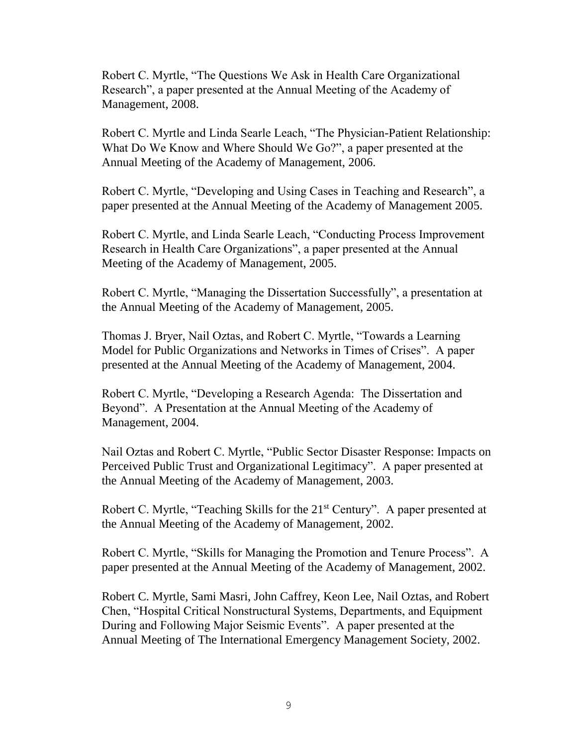Robert C. Myrtle, "The Questions We Ask in Health Care Organizational Research", a paper presented at the Annual Meeting of the Academy of Management, 2008.

Robert C. Myrtle and Linda Searle Leach, "The Physician-Patient Relationship: What Do We Know and Where Should We Go?", a paper presented at the Annual Meeting of the Academy of Management, 2006.

Robert C. Myrtle, "Developing and Using Cases in Teaching and Research", a paper presented at the Annual Meeting of the Academy of Management 2005.

Robert C. Myrtle, and Linda Searle Leach, "Conducting Process Improvement Research in Health Care Organizations", a paper presented at the Annual Meeting of the Academy of Management, 2005.

Robert C. Myrtle, "Managing the Dissertation Successfully", a presentation at the Annual Meeting of the Academy of Management, 2005.

Thomas J. Bryer, Nail Oztas, and Robert C. Myrtle, "Towards a Learning Model for Public Organizations and Networks in Times of Crises". A paper presented at the Annual Meeting of the Academy of Management, 2004.

Robert C. Myrtle, "Developing a Research Agenda: The Dissertation and Beyond". A Presentation at the Annual Meeting of the Academy of Management, 2004.

Nail Oztas and Robert C. Myrtle, "Public Sector Disaster Response: Impacts on Perceived Public Trust and Organizational Legitimacy". A paper presented at the Annual Meeting of the Academy of Management, 2003.

Robert C. Myrtle, "Teaching Skills for the 21<sup>st</sup> Century". A paper presented at the Annual Meeting of the Academy of Management, 2002.

Robert C. Myrtle, "Skills for Managing the Promotion and Tenure Process". A paper presented at the Annual Meeting of the Academy of Management, 2002.

Robert C. Myrtle, Sami Masri, John Caffrey, Keon Lee, Nail Oztas, and Robert Chen, "Hospital Critical Nonstructural Systems, Departments, and Equipment During and Following Major Seismic Events". A paper presented at the Annual Meeting of The International Emergency Management Society, 2002.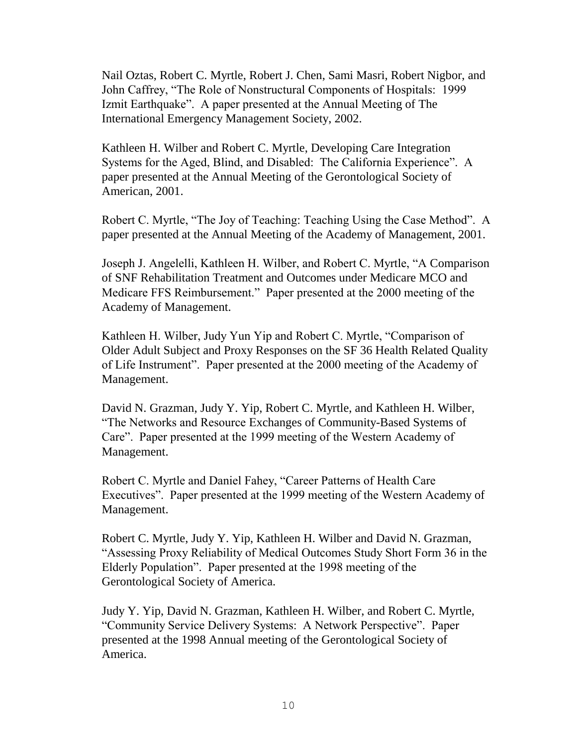Nail Oztas, Robert C. Myrtle, Robert J. Chen, Sami Masri, Robert Nigbor, and John Caffrey, "The Role of Nonstructural Components of Hospitals: 1999 Izmit Earthquake". A paper presented at the Annual Meeting of The International Emergency Management Society, 2002.

Kathleen H. Wilber and Robert C. Myrtle, Developing Care Integration Systems for the Aged, Blind, and Disabled: The California Experience". A paper presented at the Annual Meeting of the Gerontological Society of American, 2001.

Robert C. Myrtle, "The Joy of Teaching: Teaching Using the Case Method". A paper presented at the Annual Meeting of the Academy of Management, 2001.

Joseph J. Angelelli, Kathleen H. Wilber, and Robert C. Myrtle, "A Comparison of SNF Rehabilitation Treatment and Outcomes under Medicare MCO and Medicare FFS Reimbursement." Paper presented at the 2000 meeting of the Academy of Management.

Kathleen H. Wilber, Judy Yun Yip and Robert C. Myrtle, "Comparison of Older Adult Subject and Proxy Responses on the SF 36 Health Related Quality of Life Instrument". Paper presented at the 2000 meeting of the Academy of Management.

David N. Grazman, Judy Y. Yip, Robert C. Myrtle, and Kathleen H. Wilber, "The Networks and Resource Exchanges of Community-Based Systems of Care". Paper presented at the 1999 meeting of the Western Academy of Management.

Robert C. Myrtle and Daniel Fahey, "Career Patterns of Health Care Executives". Paper presented at the 1999 meeting of the Western Academy of Management.

Robert C. Myrtle, Judy Y. Yip, Kathleen H. Wilber and David N. Grazman, "Assessing Proxy Reliability of Medical Outcomes Study Short Form 36 in the Elderly Population". Paper presented at the 1998 meeting of the Gerontological Society of America.

Judy Y. Yip, David N. Grazman, Kathleen H. Wilber, and Robert C. Myrtle, "Community Service Delivery Systems: A Network Perspective". Paper presented at the 1998 Annual meeting of the Gerontological Society of America.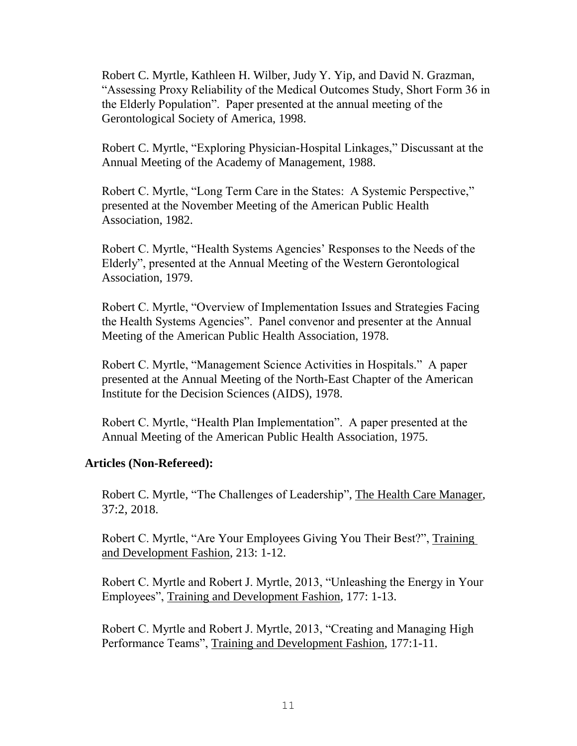Robert C. Myrtle, Kathleen H. Wilber, Judy Y. Yip, and David N. Grazman, "Assessing Proxy Reliability of the Medical Outcomes Study, Short Form 36 in the Elderly Population". Paper presented at the annual meeting of the Gerontological Society of America, 1998.

Robert C. Myrtle, "Exploring Physician-Hospital Linkages," Discussant at the Annual Meeting of the Academy of Management, 1988.

Robert C. Myrtle, "Long Term Care in the States: A Systemic Perspective," presented at the November Meeting of the American Public Health Association, 1982.

Robert C. Myrtle, "Health Systems Agencies' Responses to the Needs of the Elderly", presented at the Annual Meeting of the Western Gerontological Association, 1979.

Robert C. Myrtle, "Overview of Implementation Issues and Strategies Facing the Health Systems Agencies". Panel convenor and presenter at the Annual Meeting of the American Public Health Association, 1978.

Robert C. Myrtle, "Management Science Activities in Hospitals." A paper presented at the Annual Meeting of the North-East Chapter of the American Institute for the Decision Sciences (AIDS), 1978.

Robert C. Myrtle, "Health Plan Implementation". A paper presented at the Annual Meeting of the American Public Health Association, 1975.

### **Articles (Non-Refereed):**

Robert C. Myrtle, "The Challenges of Leadership", The Health Care Manager, 37:2, 2018.

Robert C. Myrtle, "Are Your Employees Giving You Their Best?", Training and Development Fashion, 213: 1-12.

Robert C. Myrtle and Robert J. Myrtle, 2013, "Unleashing the Energy in Your Employees", Training and Development Fashion, 177: 1-13.

Robert C. Myrtle and Robert J. Myrtle, 2013, "Creating and Managing High Performance Teams", Training and Development Fashion, 177:1-11.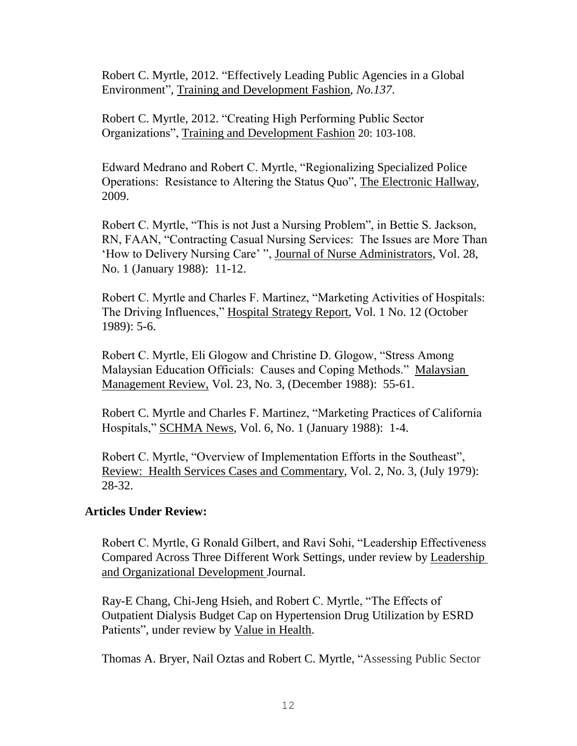Robert C. Myrtle, 2012. "Effectively Leading Public Agencies in a Global Environment", Training and Development Fashion*, No.137*.

Robert C. Myrtle, 2012. "Creating High Performing Public Sector Organizations", Training and Development Fashion 20: 103-108.

Edward Medrano and Robert C. Myrtle, "Regionalizing Specialized Police Operations: Resistance to Altering the Status Quo", The Electronic Hallway, 2009.

Robert C. Myrtle, "This is not Just a Nursing Problem", in Bettie S. Jackson, RN, FAAN, "Contracting Casual Nursing Services: The Issues are More Than 'How to Delivery Nursing Care' ", Journal of Nurse Administrators, Vol. 28, No. 1 (January 1988): 11-12.

Robert C. Myrtle and Charles F. Martinez, "Marketing Activities of Hospitals: The Driving Influences," Hospital Strategy Report, Vol. 1 No. 12 (October 1989): 5-6.

Robert C. Myrtle, Eli Glogow and Christine D. Glogow, "Stress Among Malaysian Education Officials: Causes and Coping Methods." Malaysian Management Review, Vol. 23, No. 3, (December 1988): 55-61.

Robert C. Myrtle and Charles F. Martinez, "Marketing Practices of California Hospitals," SCHMA News, Vol. 6, No. 1 (January 1988): 1-4.

Robert C. Myrtle, "Overview of Implementation Efforts in the Southeast", Review: Health Services Cases and Commentary, Vol. 2, No. 3, (July 1979): 28-32.

## **Articles Under Review:**

Robert C. Myrtle, G Ronald Gilbert, and Ravi Sohi, "Leadership Effectiveness Compared Across Three Different Work Settings, under review by Leadership and Organizational Development Journal.

Ray-E Chang, Chi-Jeng Hsieh, and Robert C. Myrtle, "The Effects of Outpatient Dialysis Budget Cap on Hypertension Drug Utilization by ESRD Patients", under review by Value in Health.

Thomas A. Bryer, Nail Oztas and Robert C. Myrtle, "Assessing Public Sector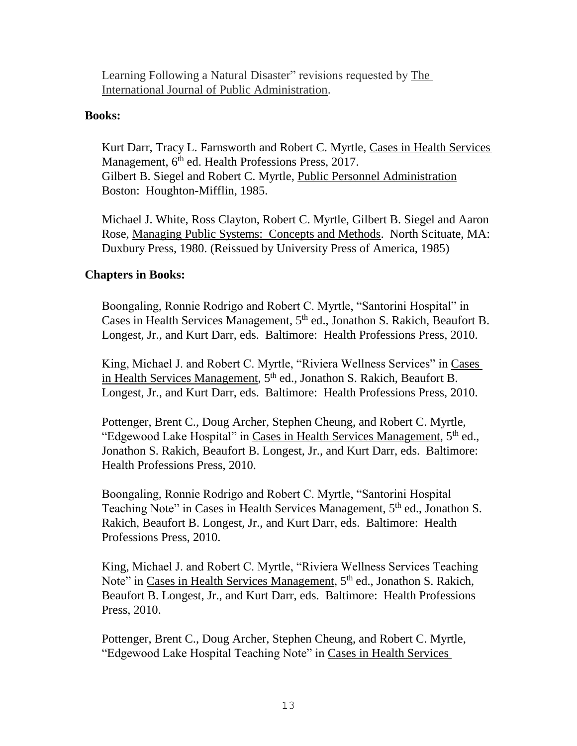Learning Following a Natural Disaster" revisions requested by The International Journal of Public Administration.

## **Books:**

Kurt Darr, Tracy L. Farnsworth and Robert C. Myrtle, Cases in Health Services Management, 6<sup>th</sup> ed. Health Professions Press, 2017. Gilbert B. Siegel and Robert C. Myrtle, Public Personnel Administration Boston: Houghton-Mifflin, 1985.

Michael J. White, Ross Clayton, Robert C. Myrtle, Gilbert B. Siegel and Aaron Rose, Managing Public Systems: Concepts and Methods. North Scituate, MA: Duxbury Press, 1980. (Reissued by University Press of America, 1985)

## **Chapters in Books:**

Boongaling, Ronnie Rodrigo and Robert C. Myrtle, "Santorini Hospital" in Cases in Health Services Management, 5<sup>th</sup> ed., Jonathon S. Rakich, Beaufort B. Longest, Jr., and Kurt Darr, eds. Baltimore: Health Professions Press, 2010.

King, Michael J. and Robert C. Myrtle, "Riviera Wellness Services" in Cases in Health Services Management, 5<sup>th</sup> ed., Jonathon S. Rakich, Beaufort B. Longest, Jr., and Kurt Darr, eds. Baltimore: Health Professions Press, 2010.

Pottenger, Brent C., Doug Archer, Stephen Cheung, and Robert C. Myrtle, "Edgewood Lake Hospital" in Cases in Health Services Management, 5<sup>th</sup> ed., Jonathon S. Rakich, Beaufort B. Longest, Jr., and Kurt Darr, eds. Baltimore: Health Professions Press, 2010.

Boongaling, Ronnie Rodrigo and Robert C. Myrtle, "Santorini Hospital Teaching Note" in Cases in Health Services Management, 5<sup>th</sup> ed., Jonathon S. Rakich, Beaufort B. Longest, Jr., and Kurt Darr, eds. Baltimore: Health Professions Press, 2010.

King, Michael J. and Robert C. Myrtle, "Riviera Wellness Services Teaching Note" in Cases in Health Services Management, 5th ed., Jonathon S. Rakich, Beaufort B. Longest, Jr., and Kurt Darr, eds. Baltimore: Health Professions Press, 2010.

Pottenger, Brent C., Doug Archer, Stephen Cheung, and Robert C. Myrtle, "Edgewood Lake Hospital Teaching Note" in Cases in Health Services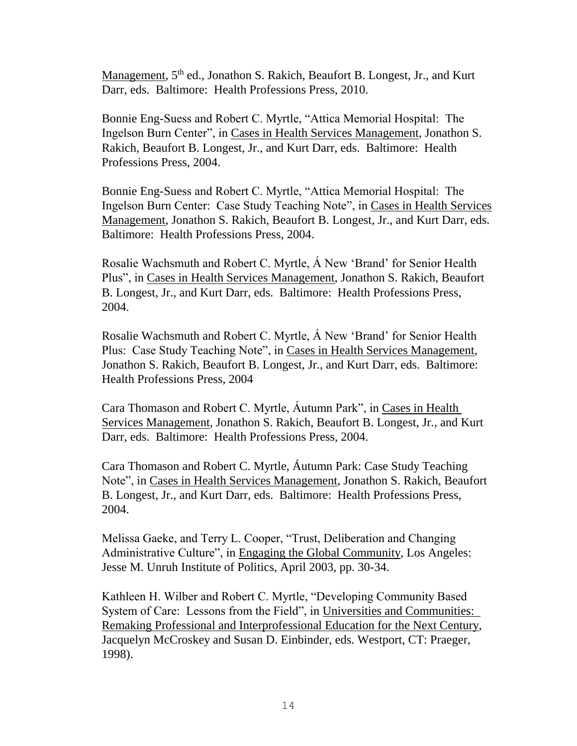Management, 5<sup>th</sup> ed., Jonathon S. Rakich, Beaufort B. Longest, Jr., and Kurt Darr, eds. Baltimore: Health Professions Press, 2010.

Bonnie Eng-Suess and Robert C. Myrtle, "Attica Memorial Hospital: The Ingelson Burn Center", in Cases in Health Services Management, Jonathon S. Rakich, Beaufort B. Longest, Jr., and Kurt Darr, eds. Baltimore: Health Professions Press, 2004.

Bonnie Eng-Suess and Robert C. Myrtle, "Attica Memorial Hospital: The Ingelson Burn Center: Case Study Teaching Note", in Cases in Health Services Management, Jonathon S. Rakich, Beaufort B. Longest, Jr., and Kurt Darr, eds. Baltimore: Health Professions Press, 2004.

Rosalie Wachsmuth and Robert C. Myrtle, Á New 'Brand' for Senior Health Plus", in Cases in Health Services Management, Jonathon S. Rakich, Beaufort B. Longest, Jr., and Kurt Darr, eds. Baltimore: Health Professions Press, 2004.

Rosalie Wachsmuth and Robert C. Myrtle, Á New 'Brand' for Senior Health Plus: Case Study Teaching Note", in Cases in Health Services Management, Jonathon S. Rakich, Beaufort B. Longest, Jr., and Kurt Darr, eds. Baltimore: Health Professions Press, 2004

Cara Thomason and Robert C. Myrtle, Áutumn Park", in Cases in Health Services Management, Jonathon S. Rakich, Beaufort B. Longest, Jr., and Kurt Darr, eds. Baltimore: Health Professions Press, 2004.

Cara Thomason and Robert C. Myrtle, Áutumn Park: Case Study Teaching Note", in Cases in Health Services Management, Jonathon S. Rakich, Beaufort B. Longest, Jr., and Kurt Darr, eds. Baltimore: Health Professions Press, 2004.

Melissa Gaeke, and Terry L. Cooper, "Trust, Deliberation and Changing Administrative Culture", in Engaging the Global Community, Los Angeles: Jesse M. Unruh Institute of Politics, April 2003, pp. 30-34.

Kathleen H. Wilber and Robert C. Myrtle, "Developing Community Based System of Care: Lessons from the Field", in Universities and Communities: Remaking Professional and Interprofessional Education for the Next Century, Jacquelyn McCroskey and Susan D. Einbinder, eds. Westport, CT: Praeger, 1998).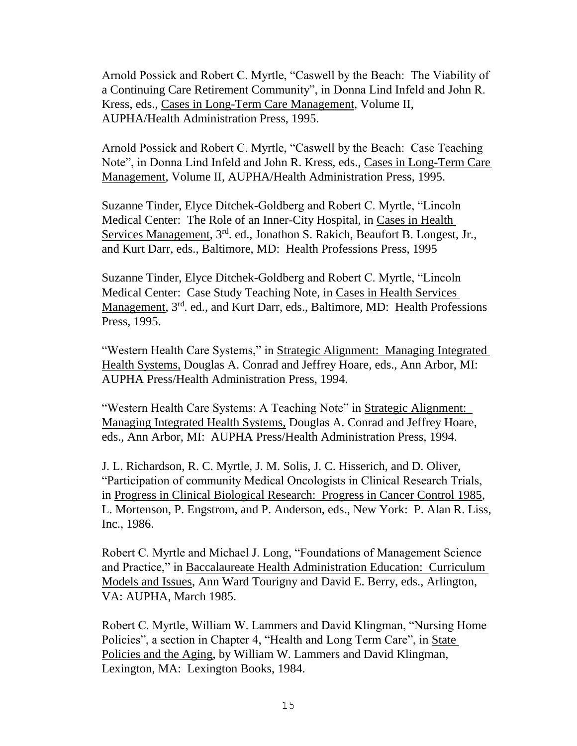Arnold Possick and Robert C. Myrtle, "Caswell by the Beach: The Viability of a Continuing Care Retirement Community", in Donna Lind Infeld and John R. Kress, eds., Cases in Long-Term Care Management, Volume II, AUPHA/Health Administration Press, 1995.

Arnold Possick and Robert C. Myrtle, "Caswell by the Beach: Case Teaching Note", in Donna Lind Infeld and John R. Kress, eds., Cases in Long-Term Care Management, Volume II, AUPHA/Health Administration Press, 1995.

Suzanne Tinder, Elyce Ditchek-Goldberg and Robert C. Myrtle, "Lincoln Medical Center: The Role of an Inner-City Hospital, in Cases in Health Services Management, 3<sup>rd</sup>. ed., Jonathon S. Rakich, Beaufort B. Longest, Jr., and Kurt Darr, eds., Baltimore, MD: Health Professions Press, 1995

Suzanne Tinder, Elyce Ditchek-Goldberg and Robert C. Myrtle, "Lincoln Medical Center: Case Study Teaching Note, in Cases in Health Services Management, 3<sup>rd</sup>. ed., and Kurt Darr, eds., Baltimore, MD: Health Professions Press, 1995.

"Western Health Care Systems," in Strategic Alignment: Managing Integrated Health Systems, Douglas A. Conrad and Jeffrey Hoare, eds., Ann Arbor, MI: AUPHA Press/Health Administration Press, 1994.

"Western Health Care Systems: A Teaching Note" in Strategic Alignment: Managing Integrated Health Systems, Douglas A. Conrad and Jeffrey Hoare, eds., Ann Arbor, MI: AUPHA Press/Health Administration Press, 1994.

J. L. Richardson, R. C. Myrtle, J. M. Solis, J. C. Hisserich, and D. Oliver, "Participation of community Medical Oncologists in Clinical Research Trials, in Progress in Clinical Biological Research: Progress in Cancer Control 1985, L. Mortenson, P. Engstrom, and P. Anderson, eds., New York: P. Alan R. Liss, Inc., 1986.

Robert C. Myrtle and Michael J. Long, "Foundations of Management Science and Practice," in Baccalaureate Health Administration Education: Curriculum Models and Issues, Ann Ward Tourigny and David E. Berry, eds., Arlington, VA: AUPHA, March 1985.

Robert C. Myrtle, William W. Lammers and David Klingman, "Nursing Home Policies", a section in Chapter 4, "Health and Long Term Care", in State Policies and the Aging, by William W. Lammers and David Klingman, Lexington, MA: Lexington Books, 1984.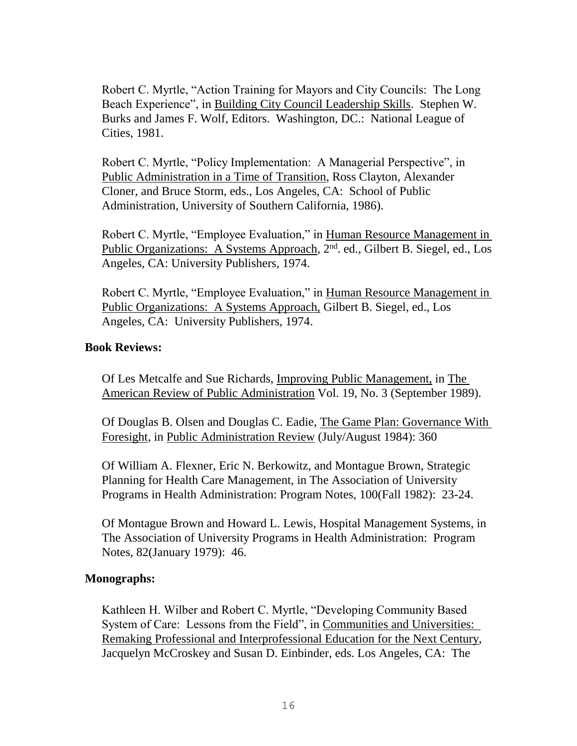Robert C. Myrtle, "Action Training for Mayors and City Councils: The Long Beach Experience", in Building City Council Leadership Skills. Stephen W. Burks and James F. Wolf, Editors. Washington, DC.: National League of Cities, 1981.

Robert C. Myrtle, "Policy Implementation: A Managerial Perspective", in Public Administration in a Time of Transition, Ross Clayton, Alexander Cloner, and Bruce Storm, eds., Los Angeles, CA: School of Public Administration, University of Southern California, 1986).

Robert C. Myrtle, "Employee Evaluation," in Human Resource Management in Public Organizations: A Systems Approach, 2<sup>nd</sup>. ed., Gilbert B. Siegel, ed., Los Angeles, CA: University Publishers, 1974.

Robert C. Myrtle, "Employee Evaluation," in Human Resource Management in Public Organizations: A Systems Approach, Gilbert B. Siegel, ed., Los Angeles, CA: University Publishers, 1974.

### **Book Reviews:**

Of Les Metcalfe and Sue Richards, Improving Public Management, in The American Review of Public Administration Vol. 19, No. 3 (September 1989).

Of Douglas B. Olsen and Douglas C. Eadie, The Game Plan: Governance With Foresight, in Public Administration Review (July/August 1984): 360

Of William A. Flexner, Eric N. Berkowitz, and Montague Brown, Strategic Planning for Health Care Management, in The Association of University Programs in Health Administration: Program Notes, 100(Fall 1982): 23-24.

Of Montague Brown and Howard L. Lewis, Hospital Management Systems, in The Association of University Programs in Health Administration: Program Notes, 82(January 1979): 46.

## **Monographs:**

Kathleen H. Wilber and Robert C. Myrtle, "Developing Community Based System of Care: Lessons from the Field", in Communities and Universities: Remaking Professional and Interprofessional Education for the Next Century, Jacquelyn McCroskey and Susan D. Einbinder, eds. Los Angeles, CA: The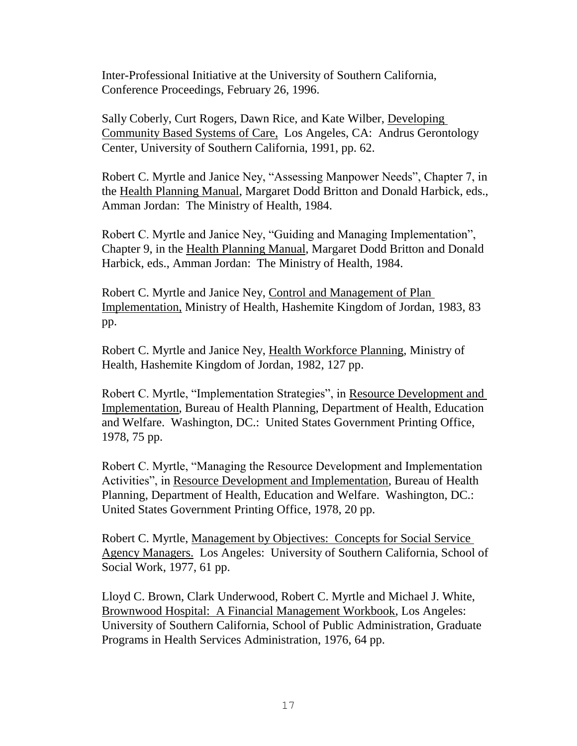Inter-Professional Initiative at the University of Southern California, Conference Proceedings, February 26, 1996.

Sally Coberly, Curt Rogers, Dawn Rice, and Kate Wilber, Developing Community Based Systems of Care, Los Angeles, CA: Andrus Gerontology Center, University of Southern California, 1991, pp. 62.

Robert C. Myrtle and Janice Ney, "Assessing Manpower Needs", Chapter 7, in the Health Planning Manual, Margaret Dodd Britton and Donald Harbick, eds., Amman Jordan: The Ministry of Health, 1984.

Robert C. Myrtle and Janice Ney, "Guiding and Managing Implementation", Chapter 9, in the Health Planning Manual, Margaret Dodd Britton and Donald Harbick, eds., Amman Jordan: The Ministry of Health, 1984.

Robert C. Myrtle and Janice Ney, Control and Management of Plan Implementation, Ministry of Health, Hashemite Kingdom of Jordan, 1983, 83 pp.

Robert C. Myrtle and Janice Ney, Health Workforce Planning, Ministry of Health, Hashemite Kingdom of Jordan, 1982, 127 pp.

Robert C. Myrtle, "Implementation Strategies", in Resource Development and Implementation, Bureau of Health Planning, Department of Health, Education and Welfare. Washington, DC.: United States Government Printing Office, 1978, 75 pp.

Robert C. Myrtle, "Managing the Resource Development and Implementation Activities", in Resource Development and Implementation, Bureau of Health Planning, Department of Health, Education and Welfare. Washington, DC.: United States Government Printing Office, 1978, 20 pp.

Robert C. Myrtle, Management by Objectives: Concepts for Social Service Agency Managers. Los Angeles: University of Southern California, School of Social Work, 1977, 61 pp.

Lloyd C. Brown, Clark Underwood, Robert C. Myrtle and Michael J. White, Brownwood Hospital: A Financial Management Workbook, Los Angeles: University of Southern California, School of Public Administration, Graduate Programs in Health Services Administration, 1976, 64 pp.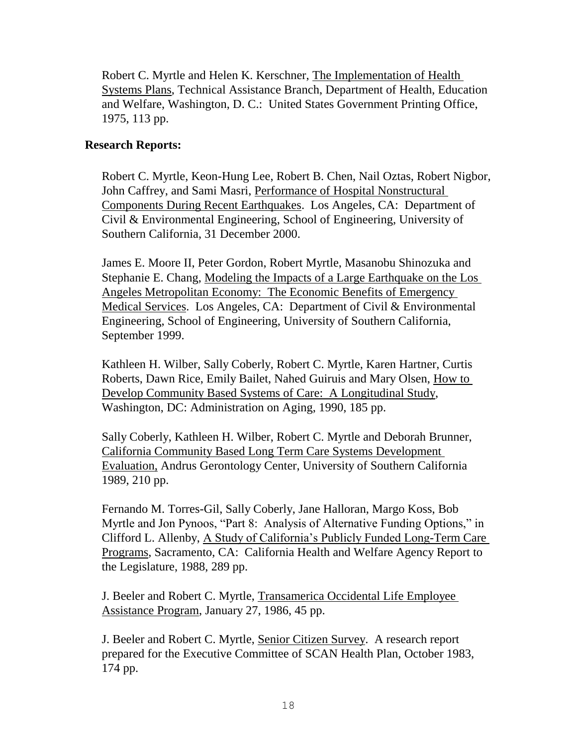Robert C. Myrtle and Helen K. Kerschner, The Implementation of Health Systems Plans, Technical Assistance Branch, Department of Health, Education and Welfare, Washington, D. C.: United States Government Printing Office, 1975, 113 pp.

## **Research Reports:**

Robert C. Myrtle, Keon-Hung Lee, Robert B. Chen, Nail Oztas, Robert Nigbor, John Caffrey, and Sami Masri, Performance of Hospital Nonstructural Components During Recent Earthquakes. Los Angeles, CA: Department of Civil & Environmental Engineering, School of Engineering, University of Southern California, 31 December 2000.

James E. Moore II, Peter Gordon, Robert Myrtle, Masanobu Shinozuka and Stephanie E. Chang, Modeling the Impacts of a Large Earthquake on the Los Angeles Metropolitan Economy: The Economic Benefits of Emergency Medical Services. Los Angeles, CA: Department of Civil & Environmental Engineering, School of Engineering, University of Southern California, September 1999.

Kathleen H. Wilber, Sally Coberly, Robert C. Myrtle, Karen Hartner, Curtis Roberts, Dawn Rice, Emily Bailet, Nahed Guiruis and Mary Olsen, How to Develop Community Based Systems of Care: A Longitudinal Study, Washington, DC: Administration on Aging, 1990, 185 pp.

Sally Coberly, Kathleen H. Wilber, Robert C. Myrtle and Deborah Brunner, California Community Based Long Term Care Systems Development Evaluation, Andrus Gerontology Center, University of Southern California 1989, 210 pp.

Fernando M. Torres-Gil, Sally Coberly, Jane Halloran, Margo Koss, Bob Myrtle and Jon Pynoos, "Part 8: Analysis of Alternative Funding Options," in Clifford L. Allenby, A Study of California's Publicly Funded Long-Term Care Programs, Sacramento, CA: California Health and Welfare Agency Report to the Legislature, 1988, 289 pp.

J. Beeler and Robert C. Myrtle, Transamerica Occidental Life Employee Assistance Program, January 27, 1986, 45 pp.

J. Beeler and Robert C. Myrtle, Senior Citizen Survey. A research report prepared for the Executive Committee of SCAN Health Plan, October 1983, 174 pp.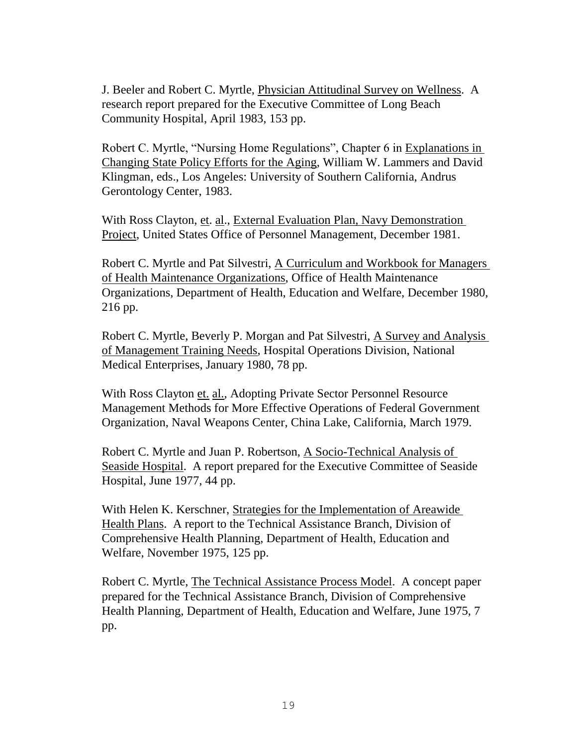J. Beeler and Robert C. Myrtle, Physician Attitudinal Survey on Wellness. A research report prepared for the Executive Committee of Long Beach Community Hospital, April 1983, 153 pp.

Robert C. Myrtle, "Nursing Home Regulations", Chapter 6 in Explanations in Changing State Policy Efforts for the Aging, William W. Lammers and David Klingman, eds., Los Angeles: University of Southern California, Andrus Gerontology Center, 1983.

With Ross Clayton, et. al., External Evaluation Plan, Navy Demonstration Project, United States Office of Personnel Management, December 1981.

Robert C. Myrtle and Pat Silvestri, A Curriculum and Workbook for Managers of Health Maintenance Organizations, Office of Health Maintenance Organizations, Department of Health, Education and Welfare, December 1980, 216 pp.

Robert C. Myrtle, Beverly P. Morgan and Pat Silvestri, A Survey and Analysis of Management Training Needs, Hospital Operations Division, National Medical Enterprises, January 1980, 78 pp.

With Ross Clayton et. al., Adopting Private Sector Personnel Resource Management Methods for More Effective Operations of Federal Government Organization, Naval Weapons Center, China Lake, California, March 1979.

Robert C. Myrtle and Juan P. Robertson, A Socio-Technical Analysis of Seaside Hospital. A report prepared for the Executive Committee of Seaside Hospital, June 1977, 44 pp.

With Helen K. Kerschner, Strategies for the Implementation of Areawide Health Plans. A report to the Technical Assistance Branch, Division of Comprehensive Health Planning, Department of Health, Education and Welfare, November 1975, 125 pp.

Robert C. Myrtle, The Technical Assistance Process Model. A concept paper prepared for the Technical Assistance Branch, Division of Comprehensive Health Planning, Department of Health, Education and Welfare, June 1975, 7 pp.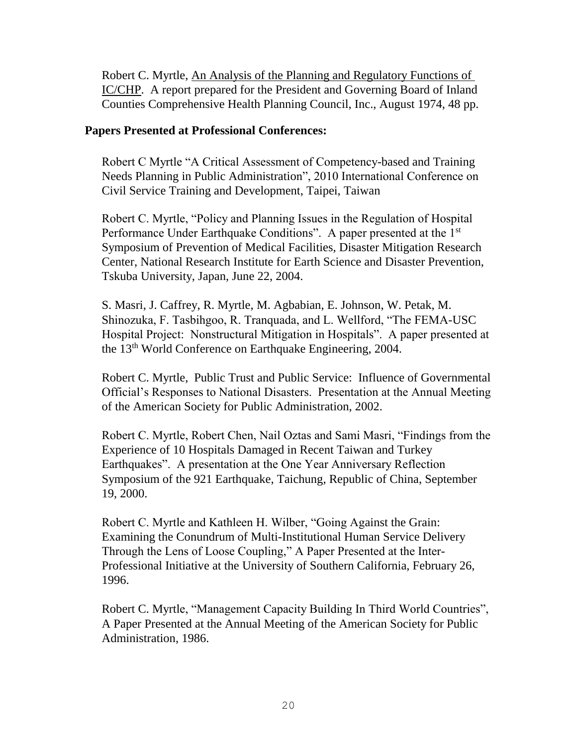Robert C. Myrtle, An Analysis of the Planning and Regulatory Functions of IC/CHP. A report prepared for the President and Governing Board of Inland Counties Comprehensive Health Planning Council, Inc., August 1974, 48 pp.

## **Papers Presented at Professional Conferences:**

Robert C Myrtle "A Critical Assessment of Competency-based and Training Needs Planning in Public Administration", 2010 International Conference on Civil Service Training and Development, Taipei, Taiwan

Robert C. Myrtle, "Policy and Planning Issues in the Regulation of Hospital Performance Under Earthquake Conditions". A paper presented at the 1<sup>st</sup> Symposium of Prevention of Medical Facilities, Disaster Mitigation Research Center, National Research Institute for Earth Science and Disaster Prevention, Tskuba University, Japan, June 22, 2004.

S. Masri, J. Caffrey, R. Myrtle, M. Agbabian, E. Johnson, W. Petak, M. Shinozuka, F. Tasbihgoo, R. Tranquada, and L. Wellford, "The FEMA-USC Hospital Project: Nonstructural Mitigation in Hospitals". A paper presented at the 13th World Conference on Earthquake Engineering, 2004.

Robert C. Myrtle, Public Trust and Public Service: Influence of Governmental Official's Responses to National Disasters. Presentation at the Annual Meeting of the American Society for Public Administration, 2002.

Robert C. Myrtle, Robert Chen, Nail Oztas and Sami Masri, "Findings from the Experience of 10 Hospitals Damaged in Recent Taiwan and Turkey Earthquakes". A presentation at the One Year Anniversary Reflection Symposium of the 921 Earthquake, Taichung, Republic of China, September 19, 2000.

Robert C. Myrtle and Kathleen H. Wilber, "Going Against the Grain: Examining the Conundrum of Multi-Institutional Human Service Delivery Through the Lens of Loose Coupling," A Paper Presented at the Inter-Professional Initiative at the University of Southern California, February 26, 1996.

Robert C. Myrtle, "Management Capacity Building In Third World Countries", A Paper Presented at the Annual Meeting of the American Society for Public Administration, 1986.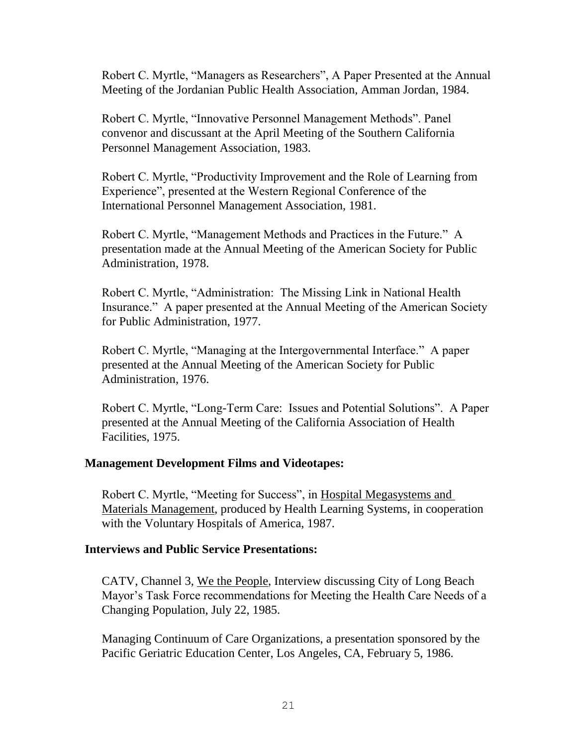Robert C. Myrtle, "Managers as Researchers", A Paper Presented at the Annual Meeting of the Jordanian Public Health Association, Amman Jordan, 1984.

Robert C. Myrtle, "Innovative Personnel Management Methods". Panel convenor and discussant at the April Meeting of the Southern California Personnel Management Association, 1983.

Robert C. Myrtle, "Productivity Improvement and the Role of Learning from Experience", presented at the Western Regional Conference of the International Personnel Management Association, 1981.

Robert C. Myrtle, "Management Methods and Practices in the Future." A presentation made at the Annual Meeting of the American Society for Public Administration, 1978.

Robert C. Myrtle, "Administration: The Missing Link in National Health Insurance." A paper presented at the Annual Meeting of the American Society for Public Administration, 1977.

Robert C. Myrtle, "Managing at the Intergovernmental Interface." A paper presented at the Annual Meeting of the American Society for Public Administration, 1976.

Robert C. Myrtle, "Long-Term Care: Issues and Potential Solutions". A Paper presented at the Annual Meeting of the California Association of Health Facilities, 1975.

### **Management Development Films and Videotapes:**

Robert C. Myrtle, "Meeting for Success", in Hospital Megasystems and Materials Management, produced by Health Learning Systems, in cooperation with the Voluntary Hospitals of America, 1987.

### **Interviews and Public Service Presentations:**

CATV, Channel 3, We the People, Interview discussing City of Long Beach Mayor's Task Force recommendations for Meeting the Health Care Needs of a Changing Population, July 22, 1985.

Managing Continuum of Care Organizations, a presentation sponsored by the Pacific Geriatric Education Center, Los Angeles, CA, February 5, 1986.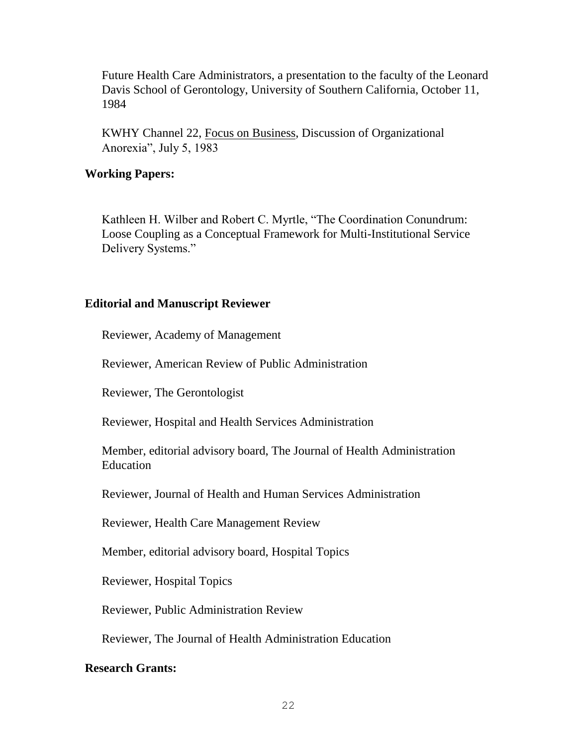Future Health Care Administrators, a presentation to the faculty of the Leonard Davis School of Gerontology, University of Southern California, October 11, 1984

KWHY Channel 22, Focus on Business, Discussion of Organizational Anorexia", July 5, 1983

## **Working Papers:**

Kathleen H. Wilber and Robert C. Myrtle, "The Coordination Conundrum: Loose Coupling as a Conceptual Framework for Multi-Institutional Service Delivery Systems."

## **Editorial and Manuscript Reviewer**

Reviewer, Academy of Management

Reviewer, American Review of Public Administration

Reviewer, The Gerontologist

Reviewer, Hospital and Health Services Administration

Member, editorial advisory board, The Journal of Health Administration Education

Reviewer, Journal of Health and Human Services Administration

Reviewer, Health Care Management Review

Member, editorial advisory board, Hospital Topics

Reviewer, Hospital Topics

Reviewer, Public Administration Review

Reviewer, The Journal of Health Administration Education

### **Research Grants:**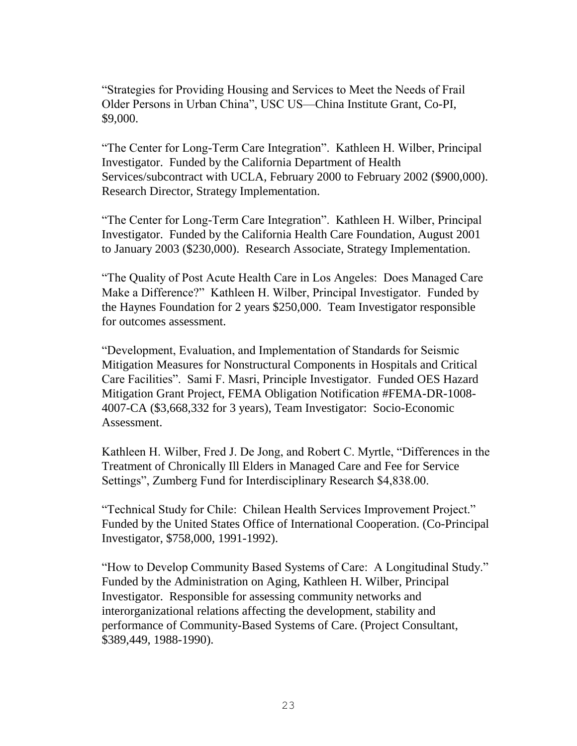"Strategies for Providing Housing and Services to Meet the Needs of Frail Older Persons in Urban China", USC US—China Institute Grant, Co-PI, \$9,000.

"The Center for Long-Term Care Integration". Kathleen H. Wilber, Principal Investigator. Funded by the California Department of Health Services/subcontract with UCLA, February 2000 to February 2002 (\$900,000). Research Director, Strategy Implementation.

"The Center for Long-Term Care Integration". Kathleen H. Wilber, Principal Investigator. Funded by the California Health Care Foundation, August 2001 to January 2003 (\$230,000). Research Associate, Strategy Implementation.

"The Quality of Post Acute Health Care in Los Angeles: Does Managed Care Make a Difference?" Kathleen H. Wilber, Principal Investigator. Funded by the Haynes Foundation for 2 years \$250,000. Team Investigator responsible for outcomes assessment.

"Development, Evaluation, and Implementation of Standards for Seismic Mitigation Measures for Nonstructural Components in Hospitals and Critical Care Facilities". Sami F. Masri, Principle Investigator. Funded OES Hazard Mitigation Grant Project, FEMA Obligation Notification #FEMA-DR-1008- 4007-CA (\$3,668,332 for 3 years), Team Investigator: Socio-Economic Assessment.

Kathleen H. Wilber, Fred J. De Jong, and Robert C. Myrtle, "Differences in the Treatment of Chronically Ill Elders in Managed Care and Fee for Service Settings", Zumberg Fund for Interdisciplinary Research \$4,838.00.

"Technical Study for Chile: Chilean Health Services Improvement Project." Funded by the United States Office of International Cooperation. (Co-Principal Investigator, \$758,000, 1991-1992).

"How to Develop Community Based Systems of Care: A Longitudinal Study." Funded by the Administration on Aging, Kathleen H. Wilber, Principal Investigator. Responsible for assessing community networks and interorganizational relations affecting the development, stability and performance of Community-Based Systems of Care. (Project Consultant, \$389,449, 1988-1990).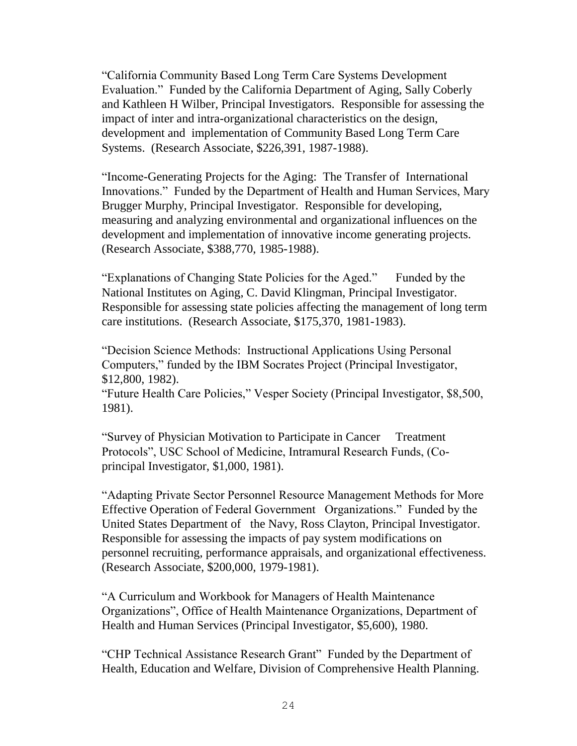"California Community Based Long Term Care Systems Development Evaluation." Funded by the California Department of Aging, Sally Coberly and Kathleen H Wilber, Principal Investigators. Responsible for assessing the impact of inter and intra-organizational characteristics on the design, development and implementation of Community Based Long Term Care Systems. (Research Associate, \$226,391, 1987-1988).

"Income-Generating Projects for the Aging: The Transfer of International Innovations." Funded by the Department of Health and Human Services, Mary Brugger Murphy, Principal Investigator. Responsible for developing, measuring and analyzing environmental and organizational influences on the development and implementation of innovative income generating projects. (Research Associate, \$388,770, 1985-1988).

"Explanations of Changing State Policies for the Aged." Funded by the National Institutes on Aging, C. David Klingman, Principal Investigator. Responsible for assessing state policies affecting the management of long term care institutions. (Research Associate, \$175,370, 1981-1983).

"Decision Science Methods: Instructional Applications Using Personal Computers," funded by the IBM Socrates Project (Principal Investigator, \$12,800, 1982).

"Future Health Care Policies," Vesper Society (Principal Investigator, \$8,500, 1981).

"Survey of Physician Motivation to Participate in Cancer Treatment Protocols", USC School of Medicine, Intramural Research Funds, (Coprincipal Investigator, \$1,000, 1981).

"Adapting Private Sector Personnel Resource Management Methods for More Effective Operation of Federal Government Organizations." Funded by the United States Department of the Navy, Ross Clayton, Principal Investigator. Responsible for assessing the impacts of pay system modifications on personnel recruiting, performance appraisals, and organizational effectiveness. (Research Associate, \$200,000, 1979-1981).

"A Curriculum and Workbook for Managers of Health Maintenance Organizations", Office of Health Maintenance Organizations, Department of Health and Human Services (Principal Investigator, \$5,600), 1980.

"CHP Technical Assistance Research Grant" Funded by the Department of Health, Education and Welfare, Division of Comprehensive Health Planning.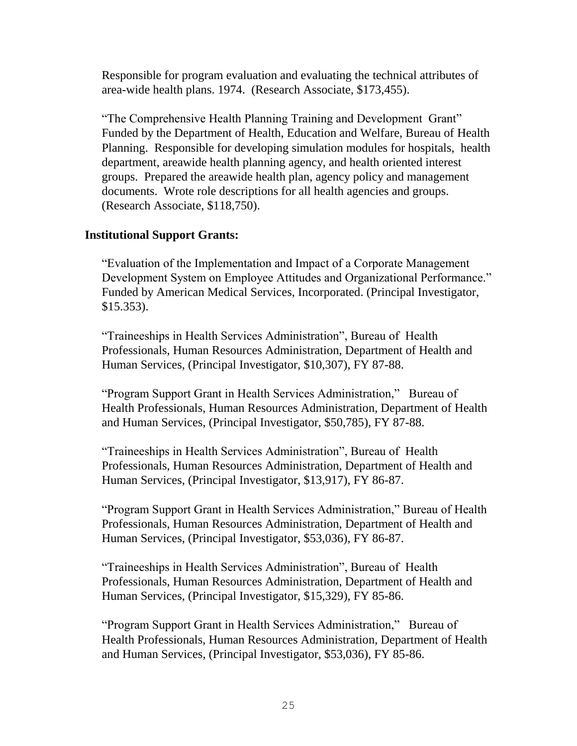Responsible for program evaluation and evaluating the technical attributes of area-wide health plans. 1974. (Research Associate, \$173,455).

"The Comprehensive Health Planning Training and Development Grant" Funded by the Department of Health, Education and Welfare, Bureau of Health Planning. Responsible for developing simulation modules for hospitals, health department, areawide health planning agency, and health oriented interest groups. Prepared the areawide health plan, agency policy and management documents. Wrote role descriptions for all health agencies and groups. (Research Associate, \$118,750).

## **Institutional Support Grants:**

"Evaluation of the Implementation and Impact of a Corporate Management Development System on Employee Attitudes and Organizational Performance." Funded by American Medical Services, Incorporated. (Principal Investigator, \$15.353).

"Traineeships in Health Services Administration", Bureau of Health Professionals, Human Resources Administration, Department of Health and Human Services, (Principal Investigator, \$10,307), FY 87-88.

"Program Support Grant in Health Services Administration," Bureau of Health Professionals, Human Resources Administration, Department of Health and Human Services, (Principal Investigator, \$50,785), FY 87-88.

"Traineeships in Health Services Administration", Bureau of Health Professionals, Human Resources Administration, Department of Health and Human Services, (Principal Investigator, \$13,917), FY 86-87.

"Program Support Grant in Health Services Administration," Bureau of Health Professionals, Human Resources Administration, Department of Health and Human Services, (Principal Investigator, \$53,036), FY 86-87.

"Traineeships in Health Services Administration", Bureau of Health Professionals, Human Resources Administration, Department of Health and Human Services, (Principal Investigator, \$15,329), FY 85-86.

"Program Support Grant in Health Services Administration," Bureau of Health Professionals, Human Resources Administration, Department of Health and Human Services, (Principal Investigator, \$53,036), FY 85-86.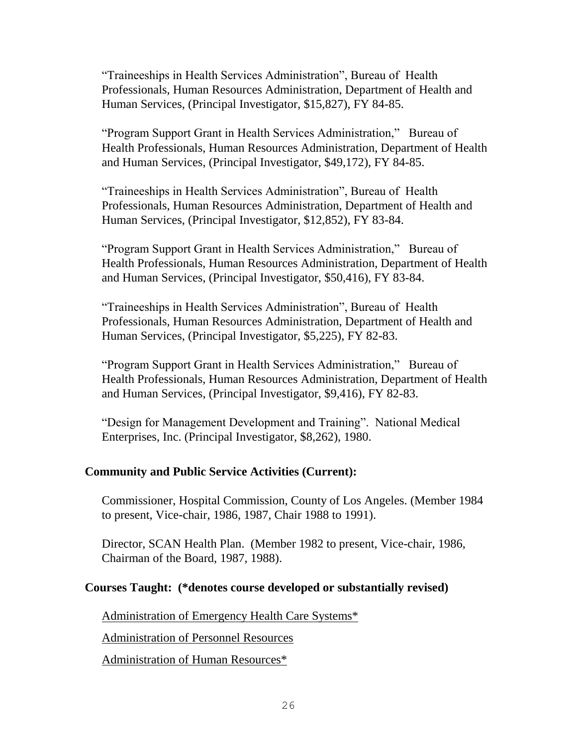"Traineeships in Health Services Administration", Bureau of Health Professionals, Human Resources Administration, Department of Health and Human Services, (Principal Investigator, \$15,827), FY 84-85.

"Program Support Grant in Health Services Administration," Bureau of Health Professionals, Human Resources Administration, Department of Health and Human Services, (Principal Investigator, \$49,172), FY 84-85.

"Traineeships in Health Services Administration", Bureau of Health Professionals, Human Resources Administration, Department of Health and Human Services, (Principal Investigator, \$12,852), FY 83-84.

"Program Support Grant in Health Services Administration," Bureau of Health Professionals, Human Resources Administration, Department of Health and Human Services, (Principal Investigator, \$50,416), FY 83-84.

"Traineeships in Health Services Administration", Bureau of Health Professionals, Human Resources Administration, Department of Health and Human Services, (Principal Investigator, \$5,225), FY 82-83.

"Program Support Grant in Health Services Administration," Bureau of Health Professionals, Human Resources Administration, Department of Health and Human Services, (Principal Investigator, \$9,416), FY 82-83.

"Design for Management Development and Training". National Medical Enterprises, Inc. (Principal Investigator, \$8,262), 1980.

### **Community and Public Service Activities (Current):**

Commissioner, Hospital Commission, County of Los Angeles. (Member 1984 to present, Vice-chair, 1986, 1987, Chair 1988 to 1991).

Director, SCAN Health Plan. (Member 1982 to present, Vice-chair, 1986, Chairman of the Board, 1987, 1988).

#### **Courses Taught: (\*denotes course developed or substantially revised)**

Administration of Emergency Health Care Systems\*

Administration of Personnel Resources

Administration of Human Resources\*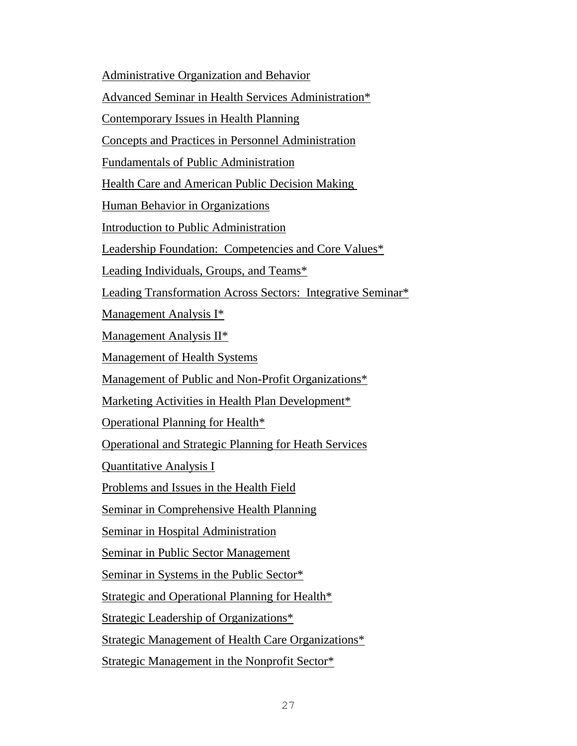Administrative Organization and Behavior

Advanced Seminar in Health Services Administration\*

Contemporary Issues in Health Planning

Concepts and Practices in Personnel Administration

Fundamentals of Public Administration

Health Care and American Public Decision Making

Human Behavior in Organizations

Introduction to Public Administration

Leadership Foundation: Competencies and Core Values\*

Leading Individuals, Groups, and Teams\*

Leading Transformation Across Sectors: Integrative Seminar\*

Management Analysis I\*

Management Analysis II\*

Management of Health Systems

Management of Public and Non-Profit Organizations\*

Marketing Activities in Health Plan Development\*

Operational Planning for Health\*

Operational and Strategic Planning for Heath Services

Quantitative Analysis I

Problems and Issues in the Health Field

Seminar in Comprehensive Health Planning

Seminar in Hospital Administration

Seminar in Public Sector Management

Seminar in Systems in the Public Sector\*

Strategic and Operational Planning for Health\*

Strategic Leadership of Organizations\*

Strategic Management of Health Care Organizations\*

Strategic Management in the Nonprofit Sector\*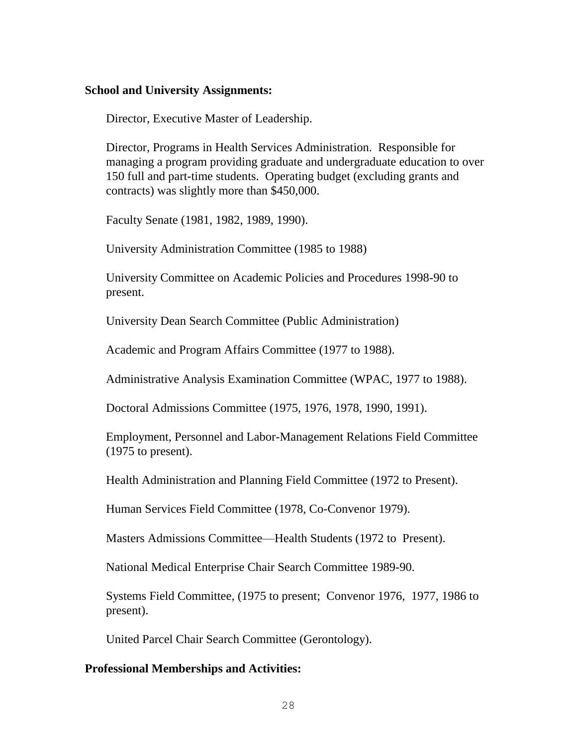#### **School and University Assignments:**

Director, Executive Master of Leadership.

Director, Programs in Health Services Administration. Responsible for managing a program providing graduate and undergraduate education to over 150 full and part-time students. Operating budget (excluding grants and contracts) was slightly more than \$450,000.

Faculty Senate (1981, 1982, 1989, 1990).

University Administration Committee (1985 to 1988)

University Committee on Academic Policies and Procedures 1998-90 to present.

University Dean Search Committee (Public Administration)

Academic and Program Affairs Committee (1977 to 1988).

Administrative Analysis Examination Committee (WPAC, 1977 to 1988).

Doctoral Admissions Committee (1975, 1976, 1978, 1990, 1991).

Employment, Personnel and Labor-Management Relations Field Committee (1975 to present).

Health Administration and Planning Field Committee (1972 to Present).

Human Services Field Committee (1978, Co-Convenor 1979).

Masters Admissions Committee—Health Students (1972 to Present).

National Medical Enterprise Chair Search Committee 1989-90.

Systems Field Committee, (1975 to present; Convenor 1976, 1977, 1986 to present).

United Parcel Chair Search Committee (Gerontology).

### **Professional Memberships and Activities:**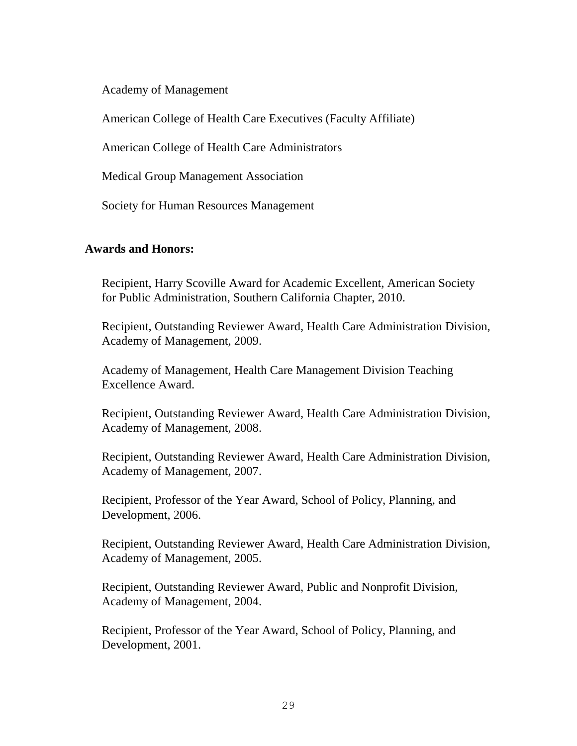Academy of Management

American College of Health Care Executives (Faculty Affiliate)

American College of Health Care Administrators

Medical Group Management Association

Society for Human Resources Management

### **Awards and Honors:**

Recipient, Harry Scoville Award for Academic Excellent, American Society for Public Administration, Southern California Chapter, 2010.

Recipient, Outstanding Reviewer Award, Health Care Administration Division, Academy of Management, 2009.

Academy of Management, Health Care Management Division Teaching Excellence Award.

Recipient, Outstanding Reviewer Award, Health Care Administration Division, Academy of Management, 2008.

Recipient, Outstanding Reviewer Award, Health Care Administration Division, Academy of Management, 2007.

Recipient, Professor of the Year Award, School of Policy, Planning, and Development, 2006.

Recipient, Outstanding Reviewer Award, Health Care Administration Division, Academy of Management, 2005.

Recipient, Outstanding Reviewer Award, Public and Nonprofit Division, Academy of Management, 2004.

Recipient, Professor of the Year Award, School of Policy, Planning, and Development, 2001.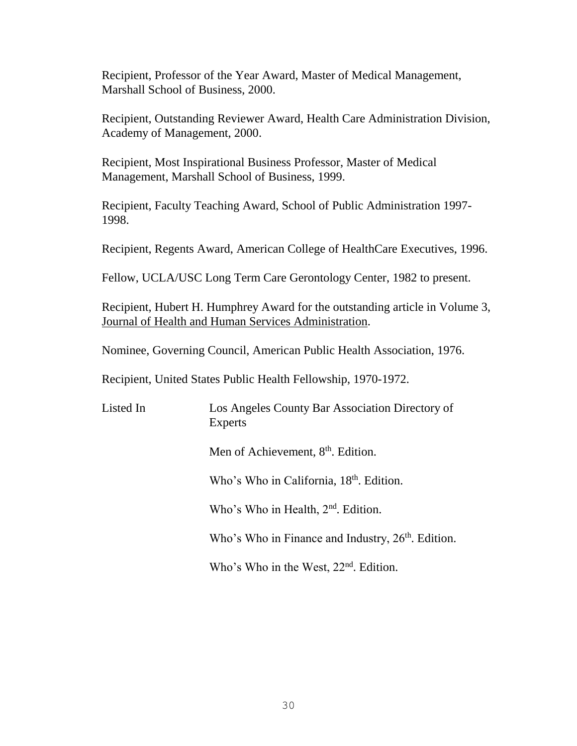Recipient, Professor of the Year Award, Master of Medical Management, Marshall School of Business, 2000.

Recipient, Outstanding Reviewer Award, Health Care Administration Division, Academy of Management, 2000.

Recipient, Most Inspirational Business Professor, Master of Medical Management, Marshall School of Business, 1999.

Recipient, Faculty Teaching Award, School of Public Administration 1997- 1998.

Recipient, Regents Award, American College of HealthCare Executives, 1996.

Fellow, UCLA/USC Long Term Care Gerontology Center, 1982 to present.

Recipient, Hubert H. Humphrey Award for the outstanding article in Volume 3, Journal of Health and Human Services Administration.

Nominee, Governing Council, American Public Health Association, 1976.

Recipient, United States Public Health Fellowship, 1970-1972.

Listed In Los Angeles County Bar Association Directory of Experts

Men of Achievement, 8<sup>th</sup>. Edition.

Who's Who in California, 18<sup>th</sup>. Edition.

Who's Who in Health, 2<sup>nd</sup>. Edition.

Who's Who in Finance and Industry,  $26<sup>th</sup>$ . Edition.

Who's Who in the West,  $22<sup>nd</sup>$ . Edition.